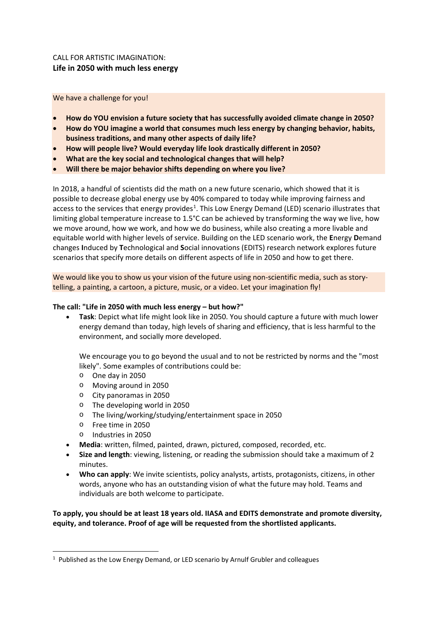## CALL FOR ARTISTIC IMAGINATION: **Life in 2050 with much less energy**

We have a challenge for you!

- **How do YOU envision a future society that has successfully avoided climate change in 2050?**
- **How do YOU imagine a world that consumes much less energy by changing behavior, habits, business traditions, and many other aspects of daily life?**
- **How will people live? Would everyday life look drastically different in 2050?**
- **What are the key social and technological changes that will help?**
- **Will there be major behavior shifts depending on where you live?**

In 2018, a handful of scientists did the math on a new future scenario, which showed that it is possible to decrease global energy use by 40% compared to today while improving fairness and access to the services that energy provides<sup>[1](#page-0-0)</sup>. This Low Energy Demand (LED) scenario illustrates that limiting global temperature increase to 1.5°C can be achieved by transforming the way we live, how we move around, how we work, and how we do business, while also creating a more livable and equitable world with higher levels of service. Building on the LED scenario work, the **E**nergy **D**emand changes **I**nduced by **T**echnological and **S**ocial innovations (EDITS) research network explores future scenarios that specify more details on different aspects of life in 2050 and how to get there.

We would like you to show us your vision of the future using non-scientific media, such as storytelling, a painting, a cartoon, a picture, music, or a video. Let your imagination fly!

## **The call: "Life in 2050 with much less energy – but how?"**

• **Task**: Depict what life might look like in 2050. You should capture a future with much lower energy demand than today, high levels of sharing and efficiency, that is less harmful to the environment, and socially more developed.

We encourage you to go beyond the usual and to not be restricted by norms and the "most likely". Some examples of contributions could be:

- o One day in 2050
- o Moving around in 2050
- o City panoramas in 2050
- o The developing world in 2050
- o The living/working/studying/entertainment space in 2050
- o Free time in 2050
- o Industries in 2050
- **Media**: written, filmed, painted, drawn, pictured, composed, recorded, etc.
- **Size and length**: viewing, listening, or reading the submission should take a maximum of 2 minutes.
- **Who can apply**: We invite scientists, policy analysts, artists, protagonists, citizens, in other words, anyone who has an outstanding vision of what the future may hold. Teams and individuals are both welcome to participate.

**To apply, you should be at least 18 years old. IIASA and EDITS demonstrate and promote diversity, equity, and tolerance. Proof of age will be requested from the shortlisted applicants.**

<span id="page-0-0"></span> $1$  Published as the Low Energy Demand, or LED scenario by Arnulf Grubler and colleagues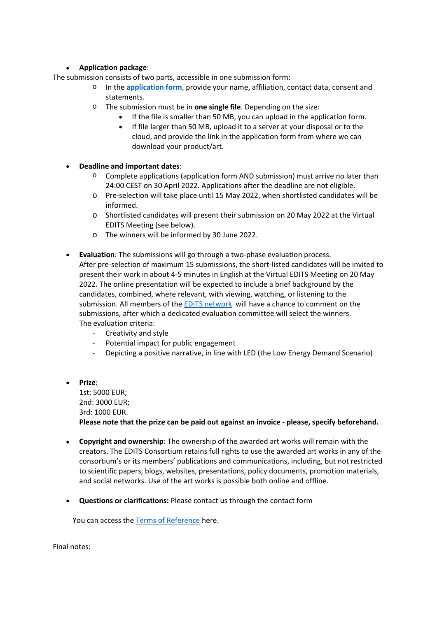## • **Application package**:

The submission consists of two parts, accessible in one submission form:

- o In the **[application form](https://forms.iiasa.ac.at/edits-arts-competition/)**, provide your name, affiliation, contact data, consent and statements.
- o The submission must be in **one single file**. Depending on the size:
	- If the file is smaller than 50 MB, you can upload in the application form.
	- If file larger than 50 MB, upload it to a server at your disposal or to the cloud, and provide the link in the application form from where we can download your product/art.
- **Deadline and important dates**:
	- o Complete applications (application form AND submission) must arrive no later than 24:00 CEST on 30 April 2022. Applications after the deadline are not eligible.
	- o Pre-selection will take place until 15 May 2022, when shortlisted candidates will be informed.
	- o Shortlisted candidates will present their submission on 20 May 2022 at the Virtual EDITS Meeting (see below).
	- o The winners will be informed by 30 June 2022.
- **Evaluation**: The submissions will go through a two-phase evaluation process. After pre-selection of maximum 15 submissions, the short-listed candidates will be invited to present their work in about 4-5 minutes in English at the Virtual EDITS Meeting on 20 May 2022. The online presentation will be expected to include a brief background by the candidates, combined, where relevant, with viewing, watching, or listening to the submission. All members of the [EDITS network](https://iiasa.ac.at/projects/energy-demand-changes-induced-by-technological-and-social-innovations-edits) will have a chance to comment on the submissions, after which a dedicated evaluation committee will select the winners. The evaluation criteria:
	- Creativity and style
	- Potential impact for public engagement
	- Depicting a positive narrative, in line with LED (the Low Energy Demand Scenario)
- **Prize**: 1st: 5000 EUR; 2nd: 3000 EUR; 3rd: 1000 EUR. **Please note that the prize can be paid out against an invoice - please, specify beforehand.**
- **Copyright and ownership**: The ownership of the awarded art works will remain with the creators. The EDITS Consortium retains full rights to use the awarded art works in any of the consortium's or its members' publications and communications, including, but not restricted to scientific papers, blogs, websites, presentations, policy documents, promotion materials, and social networks. Use of the art works is possible both online and offline.
- **Questions or clarifications:** Please contact us through the contact form

You can access the [Terms of Reference](https://iiasa.ac.at/terms-of-use) here.

Final notes: